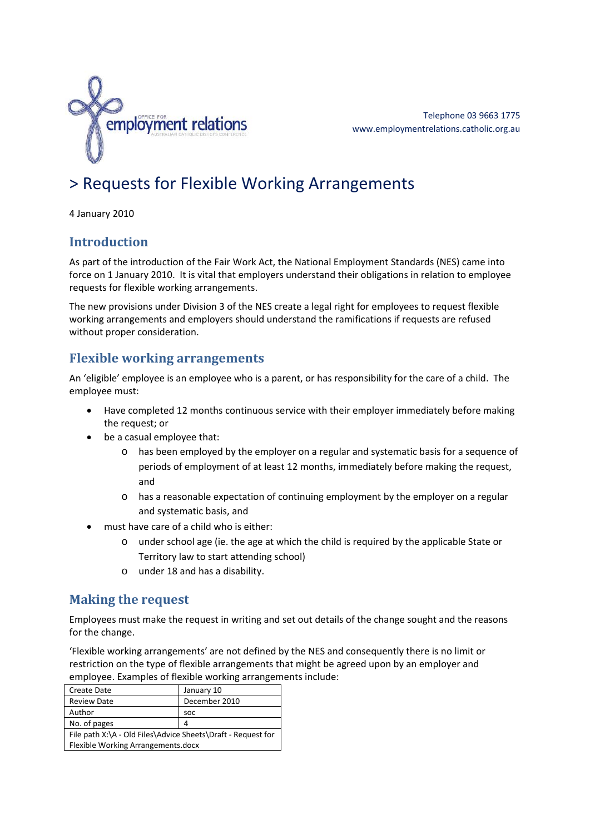

Telephone 03 9663 1775 www.employmentrelations.catholic.org.au

# > Requests for Flexible Working Arrangements

4 January 2010

## **Introduction**

As part of the introduction of the Fair Work Act, the National Employment Standards (NES) came into force on 1 January 2010. It is vital that employers understand their obligations in relation to employee requests for flexible working arrangements.

The new provisions under Division 3 of the NES create a legal right for employees to request flexible working arrangements and employers should understand the ramifications if requests are refused without proper consideration.

## **Flexible working arrangements**

An 'eligible' employee is an employee who is a parent, or has responsibility for the care of a child. The employee must:

- Have completed 12 months continuous service with their employer immediately before making the request; or
- be a casual employee that:
	- o has been employed by the employer on a regular and systematic basis for a sequence of periods of employment of at least 12 months, immediately before making the request, and
	- o has a reasonable expectation of continuing employment by the employer on a regular and systematic basis, and
- must have care of a child who is either:
	- o under school age (ie. the age at which the child is required by the applicable State or Territory law to start attending school)
	- o under 18 and has a disability.

# **Making the request**

Employees must make the request in writing and set out details of the change sought and the reasons for the change.

'Flexible working arrangements' are not defined by the NES and consequently there is no limit or restriction on the type of flexible arrangements that might be agreed upon by an employer and employee. Examples of flexible working arrangements include:

| <b>Create Date</b>                                           | January 10    |
|--------------------------------------------------------------|---------------|
| <b>Review Date</b>                                           | December 2010 |
| Author                                                       | <b>SOC</b>    |
| No. of pages                                                 | 4             |
| File path X:\A - Old Files\Advice Sheets\Draft - Request for |               |
| Flexible Working Arrangements.docx                           |               |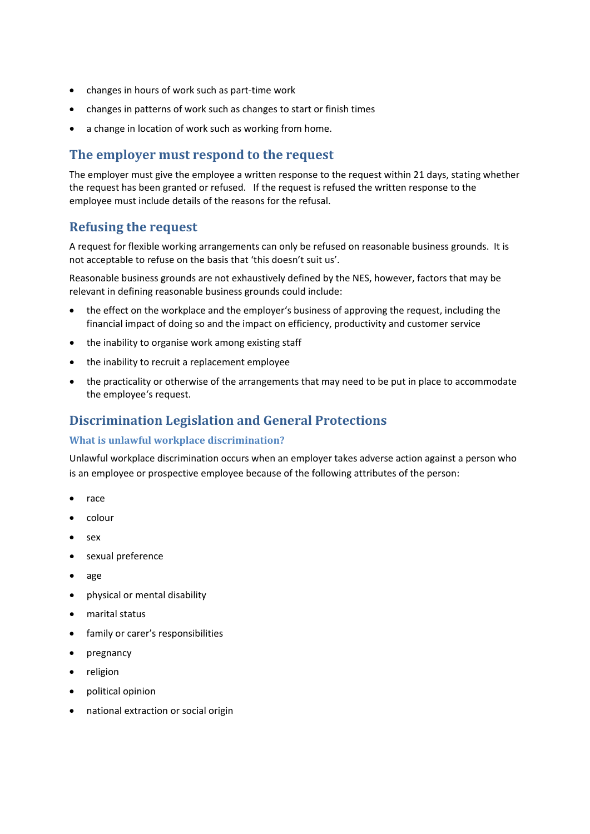- changes in hours of work such as part‐time work
- changes in patterns of work such as changes to start or finish times
- a change in location of work such as working from home.

#### **The employer must respond to the request**

The employer must give the employee a written response to the request within 21 days, stating whether the request has been granted or refused. If the request is refused the written response to the employee must include details of the reasons for the refusal.

#### **Refusing the request**

A request for flexible working arrangements can only be refused on reasonable business grounds. It is not acceptable to refuse on the basis that 'this doesn't suit us'.

Reasonable business grounds are not exhaustively defined by the NES, however, factors that may be relevant in defining reasonable business grounds could include:

- the effect on the workplace and the employer's business of approving the request, including the financial impact of doing so and the impact on efficiency, productivity and customer service
- the inability to organise work among existing staff
- the inability to recruit a replacement employee
- the practicality or otherwise of the arrangements that may need to be put in place to accommodate the employee's request.

### **Discrimination Legislation and General Protections**

#### **What is unlawful workplace discrimination?**

Unlawful workplace discrimination occurs when an employer takes adverse action against a person who is an employee or prospective employee because of the following attributes of the person:

- race
- colour
- sex
- sexual preference
- age
- physical or mental disability
- marital status
- family or carer's responsibilities
- pregnancy
- religion
- political opinion
- national extraction or social origin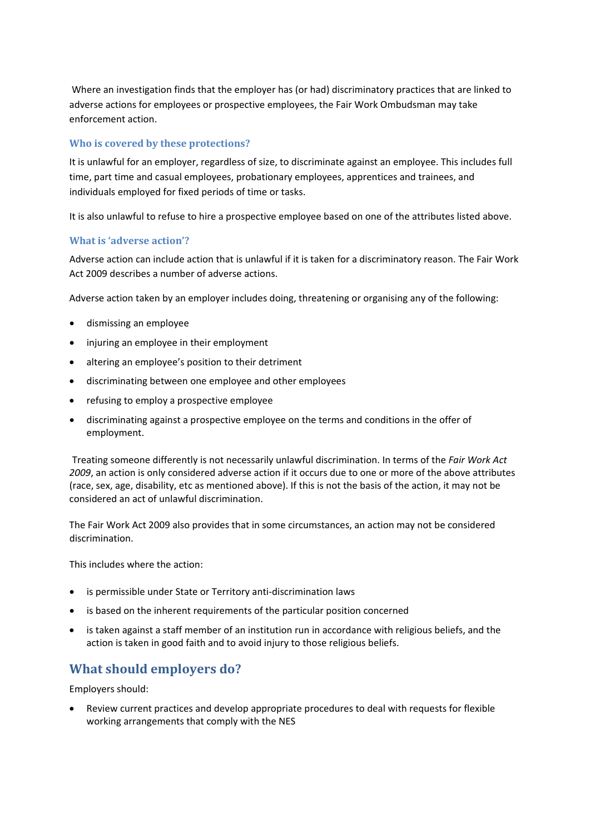Where an investigation finds that the employer has (or had) discriminatory practices that are linked to adverse actions for employees or prospective employees, the Fair Work Ombudsman may take enforcement action.

#### **Who is covered by these protections?**

It is unlawful for an employer, regardless of size, to discriminate against an employee. This includes full time, part time and casual employees, probationary employees, apprentices and trainees, and individuals employed for fixed periods of time or tasks.

It is also unlawful to refuse to hire a prospective employee based on one of the attributes listed above.

#### **What is 'adverse action'?**

Adverse action can include action that is unlawful if it is taken for a discriminatory reason. The Fair Work Act 2009 describes a number of adverse actions.

Adverse action taken by an employer includes doing, threatening or organising any of the following:

- dismissing an employee
- injuring an employee in their employment
- altering an employee's position to their detriment
- discriminating between one employee and other employees
- refusing to employ a prospective employee
- discriminating against a prospective employee on the terms and conditions in the offer of employment.

Treating someone differently is not necessarily unlawful discrimination. In terms of the *Fair Work Act 2009*, an action is only considered adverse action if it occurs due to one or more of the above attributes (race, sex, age, disability, etc as mentioned above). If this is not the basis of the action, it may not be considered an act of unlawful discrimination.

The Fair Work Act 2009 also provides that in some circumstances, an action may not be considered discrimination.

This includes where the action:

- is permissible under State or Territory anti‐discrimination laws
- is based on the inherent requirements of the particular position concerned
- is taken against a staff member of an institution run in accordance with religious beliefs, and the action is taken in good faith and to avoid injury to those religious beliefs.

# **What should employers do?**

Employers should:

 Review current practices and develop appropriate procedures to deal with requests for flexible working arrangements that comply with the NES